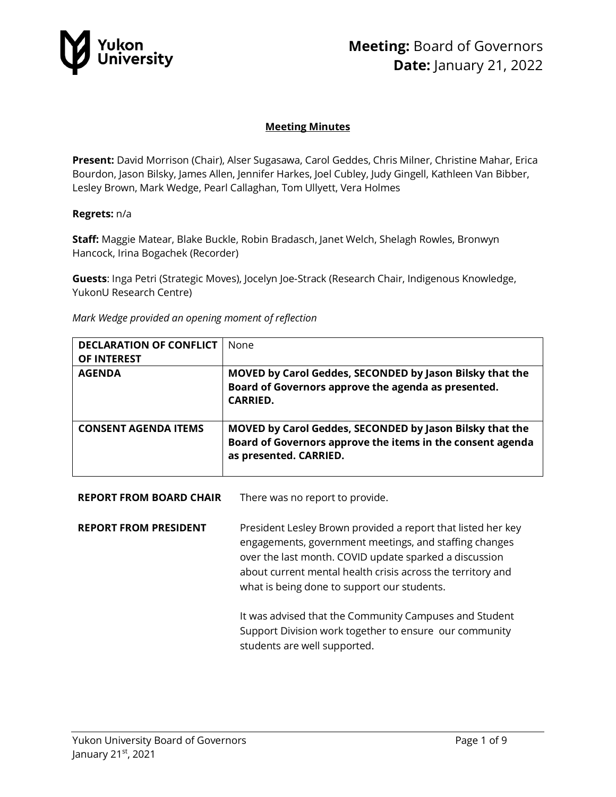

### **Meeting Minutes**

**Present:** David Morrison (Chair), Alser Sugasawa, Carol Geddes, Chris Milner, Christine Mahar, Erica Bourdon, Jason Bilsky, James Allen, Jennifer Harkes, Joel Cubley, Judy Gingell, Kathleen Van Bibber, Lesley Brown, Mark Wedge, Pearl Callaghan, Tom Ullyett, Vera Holmes

#### **Regrets:** n/a

**Staff:** Maggie Matear, Blake Buckle, Robin Bradasch, Janet Welch, Shelagh Rowles, Bronwyn Hancock, Irina Bogachek (Recorder)

**Guests**: Inga Petri (Strategic Moves), Jocelyn Joe-Strack (Research Chair, Indigenous Knowledge, YukonU Research Centre)

*Mark Wedge provided an opening moment of reflection*

| <b>DECLARATION OF CONFLICT</b><br>OF INTEREST | <b>None</b>                                                                                                                                      |
|-----------------------------------------------|--------------------------------------------------------------------------------------------------------------------------------------------------|
| <b>AGENDA</b>                                 | MOVED by Carol Geddes, SECONDED by Jason Bilsky that the<br>Board of Governors approve the agenda as presented.<br><b>CARRIED.</b>               |
| <b>CONSENT AGENDA ITEMS</b>                   | MOVED by Carol Geddes, SECONDED by Jason Bilsky that the<br>Board of Governors approve the items in the consent agenda<br>as presented. CARRIED. |

**REPORT FROM BOARD CHAIR** There was no report to provide.

**REPORT FROM PRESIDENT** President Lesley Brown provided a report that listed her key engagements, government meetings, and staffing changes over the last month. COVID update sparked a discussion about current mental health crisis across the territory and what is being done to support our students.

> It was advised that the Community Campuses and Student Support Division work together to ensure our community students are well supported.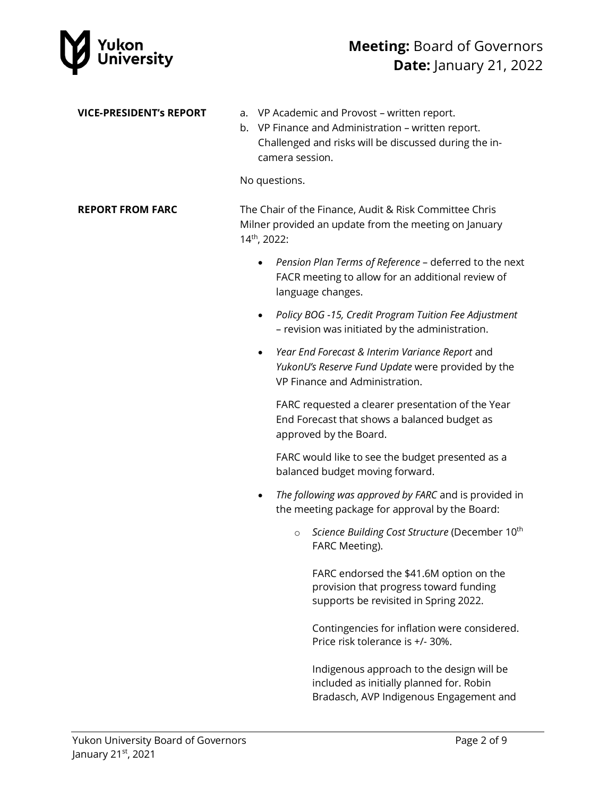

| <b>VICE-PRESIDENT's REPORT</b> | a.<br>b.<br>No questions.                                                                                                                   | VP Academic and Provost - written report.<br>VP Finance and Administration - written report.<br>Challenged and risks will be discussed during the in-<br>camera session. |
|--------------------------------|---------------------------------------------------------------------------------------------------------------------------------------------|--------------------------------------------------------------------------------------------------------------------------------------------------------------------------|
| <b>REPORT FROM FARC</b>        | The Chair of the Finance, Audit & Risk Committee Chris<br>Milner provided an update from the meeting on January<br>14 <sup>th</sup> , 2022: |                                                                                                                                                                          |
|                                |                                                                                                                                             | Pension Plan Terms of Reference - deferred to the next<br>FACR meeting to allow for an additional review of<br>language changes.                                         |
|                                | $\bullet$                                                                                                                                   | Policy BOG -15, Credit Program Tuition Fee Adjustment<br>- revision was initiated by the administration.                                                                 |
|                                | $\bullet$                                                                                                                                   | Year End Forecast & Interim Variance Report and<br>YukonU's Reserve Fund Update were provided by the<br>VP Finance and Administration.                                   |
|                                |                                                                                                                                             | FARC requested a clearer presentation of the Year<br>End Forecast that shows a balanced budget as<br>approved by the Board.                                              |
|                                |                                                                                                                                             | FARC would like to see the budget presented as a<br>balanced budget moving forward.                                                                                      |
|                                | ٠                                                                                                                                           | The following was approved by FARC and is provided in<br>the meeting package for approval by the Board:                                                                  |
|                                |                                                                                                                                             | Science Building Cost Structure (December 10th<br>$\circ$<br>FARC Meeting).                                                                                              |
|                                |                                                                                                                                             | FARC endorsed the \$41.6M option on the<br>provision that progress toward funding<br>supports be revisited in Spring 2022.                                               |
|                                |                                                                                                                                             | Contingencies for inflation were considered.<br>Price risk tolerance is +/- 30%.                                                                                         |
|                                |                                                                                                                                             | Indigenous approach to the design will be<br>included as initially planned for. Robin<br>Bradasch, AVP Indigenous Engagement and                                         |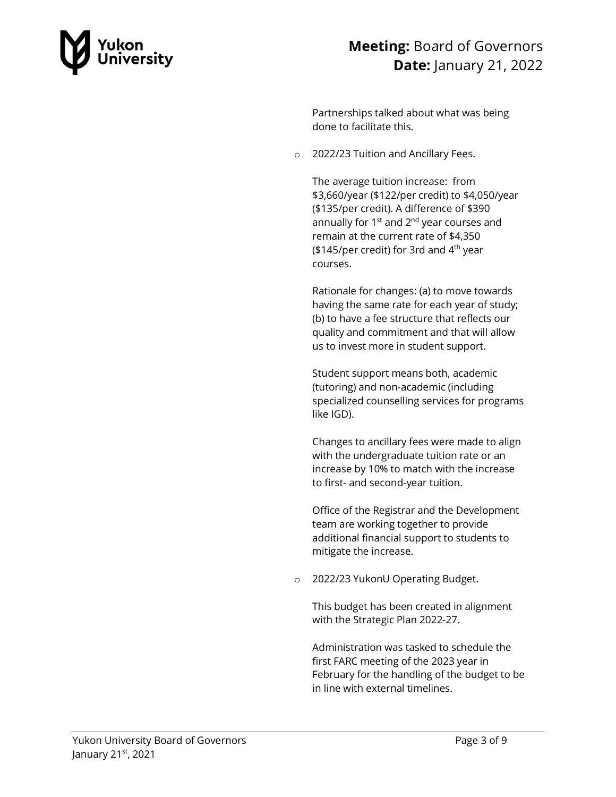

Partnerships talked about what was being done to facilitate this.

o 2022/23 Tuition and Ancillary Fees.

The average tuition increase: from \$3,660/year (\$122/per credit) to \$4,050/year (\$135/per credit). A difference of \$390 annually for  $1<sup>st</sup>$  and  $2<sup>nd</sup>$  year courses and remain at the current rate of \$4,350 (\$145/per credit) for 3rd and  $4<sup>th</sup>$  year courses.

Rationale for changes: (a) to move towards having the same rate for each year of study; (b) to have a fee structure that reflects our quality and commitment and that will allow us to invest more in student support.

Student support means both, academic (tutoring) and non-academic (including specialized counselling services for programs like IGD).

Changes to ancillary fees were made to align with the undergraduate tuition rate or an increase by 10% to match with the increase to first- and second-year tuition.

Office of the Registrar and the Development team are working together to provide additional financial support to students to mitigate the increase.

o 2022/23 YukonU Operating Budget.

This budget has been created in alignment with the Strategic Plan 2022-27.

Administration was tasked to schedule the first FARC meeting of the 2023 year in February for the handling of the budget to be in line with external timelines.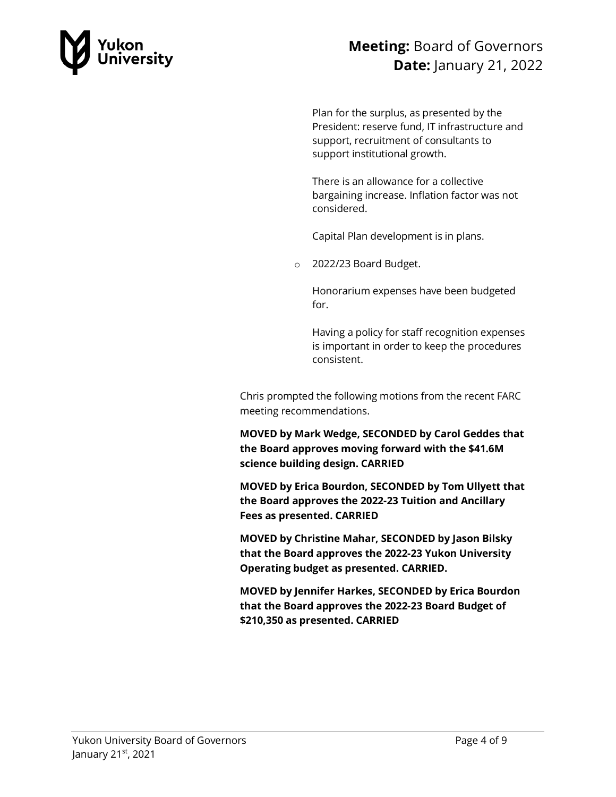

Plan for the surplus, as presented by the President: reserve fund, IT infrastructure and support, recruitment of consultants to support institutional growth.

There is an allowance for a collective bargaining increase. Inflation factor was not considered.

Capital Plan development is in plans.

o 2022/23 Board Budget.

Honorarium expenses have been budgeted for.

Having a policy for staff recognition expenses is important in order to keep the procedures consistent.

Chris prompted the following motions from the recent FARC meeting recommendations.

**MOVED by Mark Wedge, SECONDED by Carol Geddes that the Board approves moving forward with the \$41.6M science building design. CARRIED**

**MOVED by Erica Bourdon, SECONDED by Tom Ullyett that the Board approves the 2022-23 Tuition and Ancillary Fees as presented. CARRIED**

**MOVED by Christine Mahar, SECONDED by Jason Bilsky that the Board approves the 2022-23 Yukon University Operating budget as presented. CARRIED.** 

**MOVED by Jennifer Harkes, SECONDED by Erica Bourdon that the Board approves the 2022-23 Board Budget of \$210,350 as presented. CARRIED**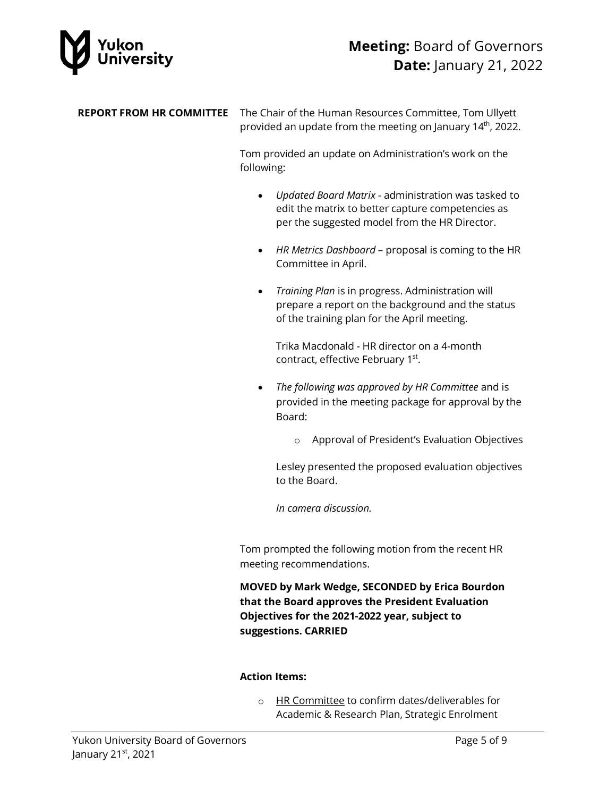

#### **REPORT FROM HR COMMITTEE** The Chair of the Human Resources Committee, Tom Ullyett provided an update from the meeting on January 14<sup>th</sup>, 2022.

Tom provided an update on Administration's work on the following:

- *Updated Board Matrix* administration was tasked to edit the matrix to better capture competencies as per the suggested model from the HR Director.
- *HR Metrics Dashboard* proposal is coming to the HR Committee in April.
- *Training Plan* is in progress. Administration will prepare a report on the background and the status of the training plan for the April meeting.

Trika Macdonald - HR director on a 4-month contract, effective February 1<sup>st</sup>.

- *The following was approved by HR Committee* and is provided in the meeting package for approval by the Board:
	- o Approval of President's Evaluation Objectives

Lesley presented the proposed evaluation objectives to the Board.

*In camera discussion.*

Tom prompted the following motion from the recent HR meeting recommendations.

**MOVED by Mark Wedge, SECONDED by Erica Bourdon that the Board approves the President Evaluation Objectives for the 2021-2022 year, subject to suggestions. CARRIED**

#### **Action Items:**

o HR Committee to confirm dates/deliverables for Academic & Research Plan, Strategic Enrolment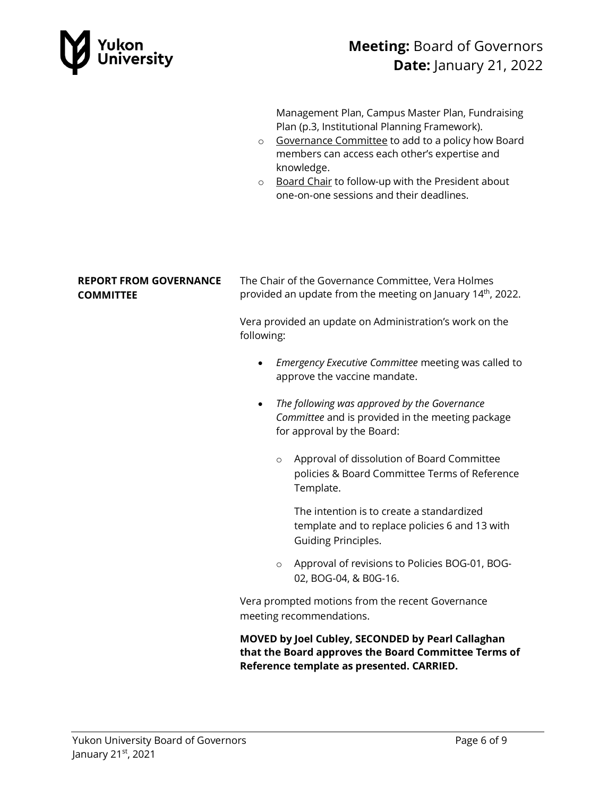

Management Plan, Campus Master Plan, Fundraising Plan (p.3, Institutional Planning Framework).

- o Governance Committee to add to a policy how Board members can access each other's expertise and knowledge.
- o Board Chair to follow-up with the President about one-on-one sessions and their deadlines.

#### **REPORT FROM GOVERNANCE COMMITTEE**

The Chair of the Governance Committee, Vera Holmes provided an update from the meeting on January  $14<sup>th</sup>$ , 2022.

Vera provided an update on Administration's work on the following:

- *Emergency Executive Committee* meeting was called to approve the vaccine mandate.
- *The following was approved by the Governance Committee* and is provided in the meeting package for approval by the Board:
	- o Approval of dissolution of Board Committee policies & Board Committee Terms of Reference Template.

The intention is to create a standardized template and to replace policies 6 and 13 with Guiding Principles.

o Approval of revisions to Policies BOG-01, BOG-02, BOG-04, & B0G-16.

Vera prompted motions from the recent Governance meeting recommendations.

**MOVED by Joel Cubley, SECONDED by Pearl Callaghan that the Board approves the Board Committee Terms of Reference template as presented. CARRIED.**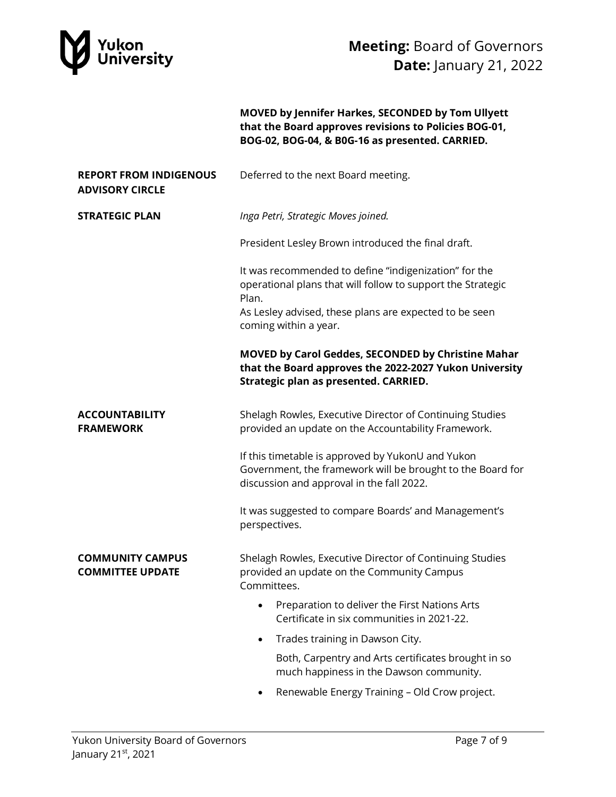

**MOVED by Jennifer Harkes, SECONDED by Tom Ullyett that the Board approves revisions to Policies BOG-01, BOG-02, BOG-04, & B0G-16 as presented. CARRIED.**

| <b>REPORT FROM INDIGENOUS</b><br><b>ADVISORY CIRCLE</b> | Deferred to the next Board meeting.                                                                                                                          |  |
|---------------------------------------------------------|--------------------------------------------------------------------------------------------------------------------------------------------------------------|--|
| <b>STRATEGIC PLAN</b>                                   | Inga Petri, Strategic Moves joined.                                                                                                                          |  |
|                                                         | President Lesley Brown introduced the final draft.                                                                                                           |  |
|                                                         | It was recommended to define "indigenization" for the<br>operational plans that will follow to support the Strategic<br>Plan.                                |  |
|                                                         | As Lesley advised, these plans are expected to be seen<br>coming within a year.                                                                              |  |
|                                                         | MOVED by Carol Geddes, SECONDED by Christine Mahar<br>that the Board approves the 2022-2027 Yukon University<br>Strategic plan as presented. CARRIED.        |  |
| <b>ACCOUNTABILITY</b><br><b>FRAMEWORK</b>               | Shelagh Rowles, Executive Director of Continuing Studies<br>provided an update on the Accountability Framework.                                              |  |
|                                                         | If this timetable is approved by YukonU and Yukon<br>Government, the framework will be brought to the Board for<br>discussion and approval in the fall 2022. |  |
|                                                         | It was suggested to compare Boards' and Management's<br>perspectives.                                                                                        |  |
| <b>COMMUNITY CAMPUS</b><br><b>COMMITTEE UPDATE</b>      | Shelagh Rowles, Executive Director of Continuing Studies<br>provided an update on the Community Campus<br>Committees.                                        |  |
|                                                         | Preparation to deliver the First Nations Arts<br>Certificate in six communities in 2021-22.                                                                  |  |
|                                                         | Trades training in Dawson City.                                                                                                                              |  |
|                                                         | Both, Carpentry and Arts certificates brought in so<br>much happiness in the Dawson community.                                                               |  |
|                                                         | Renewable Energy Training - Old Crow project.<br>$\bullet$                                                                                                   |  |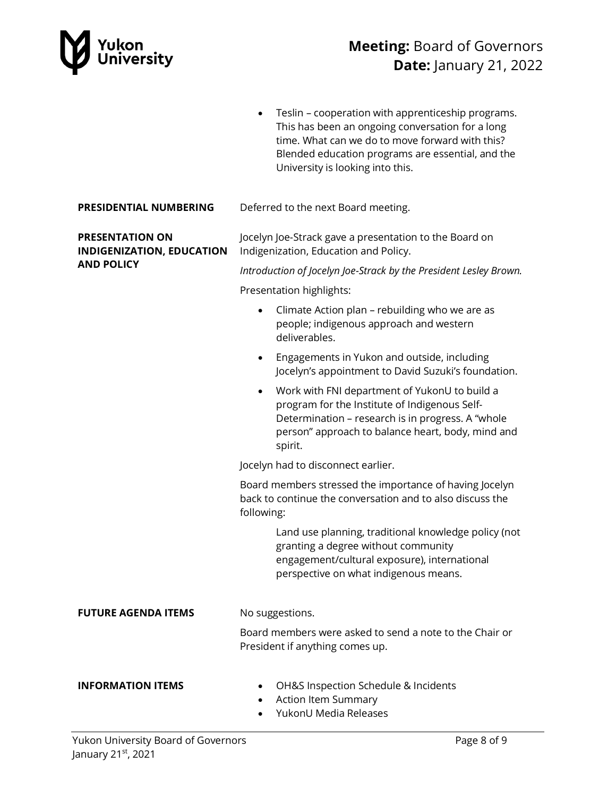

|                                                            | Teslin - cooperation with apprenticeship programs.<br>$\bullet$<br>This has been an ongoing conversation for a long<br>time. What can we do to move forward with this?<br>Blended education programs are essential, and the<br>University is looking into this. |  |
|------------------------------------------------------------|-----------------------------------------------------------------------------------------------------------------------------------------------------------------------------------------------------------------------------------------------------------------|--|
| PRESIDENTIAL NUMBERING                                     | Deferred to the next Board meeting.                                                                                                                                                                                                                             |  |
| <b>PRESENTATION ON</b><br><b>INDIGENIZATION, EDUCATION</b> | Jocelyn Joe-Strack gave a presentation to the Board on<br>Indigenization, Education and Policy.                                                                                                                                                                 |  |
| <b>AND POLICY</b>                                          | Introduction of Jocelyn Joe-Strack by the President Lesley Brown.                                                                                                                                                                                               |  |
|                                                            | Presentation highlights:                                                                                                                                                                                                                                        |  |
|                                                            | Climate Action plan - rebuilding who we are as<br>$\bullet$<br>people; indigenous approach and western<br>deliverables.                                                                                                                                         |  |
|                                                            | Engagements in Yukon and outside, including<br>٠<br>Jocelyn's appointment to David Suzuki's foundation.                                                                                                                                                         |  |
|                                                            | Work with FNI department of YukonU to build a<br>$\bullet$<br>program for the Institute of Indigenous Self-<br>Determination - research is in progress. A "whole<br>person" approach to balance heart, body, mind and<br>spirit.                                |  |
|                                                            | Jocelyn had to disconnect earlier.                                                                                                                                                                                                                              |  |
|                                                            | Board members stressed the importance of having Jocelyn<br>back to continue the conversation and to also discuss the<br>following:                                                                                                                              |  |
|                                                            | Land use planning, traditional knowledge policy (not<br>granting a degree without community<br>engagement/cultural exposure), international<br>perspective on what indigenous means.                                                                            |  |
| <b>FUTURE AGENDA ITEMS</b>                                 | No suggestions.                                                                                                                                                                                                                                                 |  |
|                                                            | Board members were asked to send a note to the Chair or<br>President if anything comes up.                                                                                                                                                                      |  |
| <b>INFORMATION ITEMS</b>                                   | OH&S Inspection Schedule & Incidents<br>Action Item Summary<br>YukonU Media Releases                                                                                                                                                                            |  |